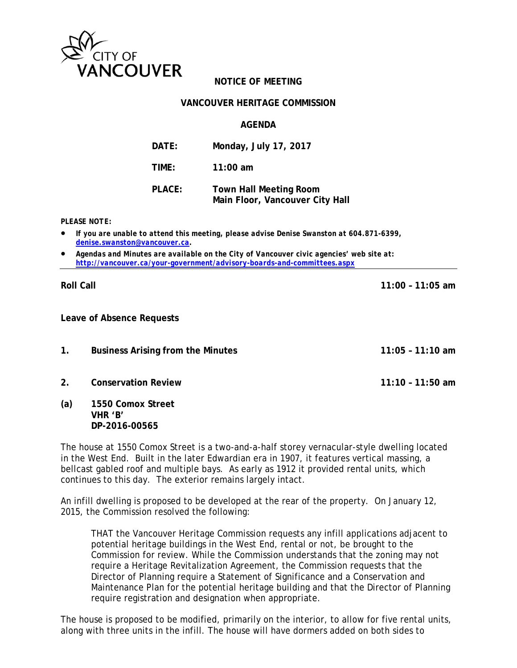

# **NOTICE OF MEETING**

## **VANCOUVER HERITAGE COMMISSION**

## **AGENDA**

| DATE:         | Monday, July 17, 2017                                            |
|---------------|------------------------------------------------------------------|
| TIME:         | 11:00 am                                                         |
| <b>PLACE:</b> | <b>Town Hall Meeting Room</b><br>Main Floor, Vancouver City Hall |

#### *PLEASE NOTE:*

- *If you are unable to attend this meeting, please advise Denise Swanston at 604.871-6399, denise.swanston@vancouver.ca.*
- *Agendas and Minutes are available on the City of Vancouver civic agencies' web site at: http://vancouver.ca/your-government/advisory-boards-and-committees.aspx*

#### **Roll Call 11:00 – 11:05 am**

**Leave of Absence Requests** 

- **1. Business Arising from the Minutes 11:05 11:10 am**
- **2. Conservation Review 11:10 11:50 am**
- **(a) 1550 Comox Street VHR 'B' DP-2016-00565**

The house at 1550 Comox Street is a two-and-a-half storey vernacular-style dwelling located in the West End. Built in the later Edwardian era in 1907, it features vertical massing, a bellcast gabled roof and multiple bays. As early as 1912 it provided rental units, which continues to this day. The exterior remains largely intact.

An infill dwelling is proposed to be developed at the rear of the property. On January 12, 2015, the Commission resolved the following:

THAT the Vancouver Heritage Commission requests any infill applications adjacent to potential heritage buildings in the West End, rental or not, be brought to the Commission for review. While the Commission understands that the zoning may not require a Heritage Revitalization Agreement, the Commission requests that the Director of Planning require a Statement of Significance and a Conservation and Maintenance Plan for the potential heritage building and that the Director of Planning require registration and designation when appropriate.

The house is proposed to be modified, primarily on the interior, to allow for five rental units, along with three units in the infill. The house will have dormers added on both sides to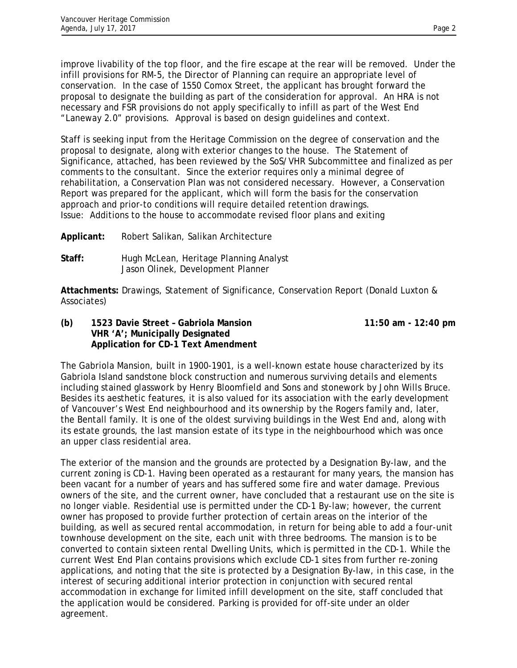improve livability of the top floor, and the fire escape at the rear will be removed. Under the infill provisions for RM-5, the Director of Planning can require an appropriate level of conservation. In the case of 1550 Comox Street, the applicant has brought forward the proposal to designate the building as part of the consideration for approval. An HRA is not necessary and FSR provisions do not apply specifically to infill as part of the West End "Laneway 2.0" provisions. Approval is based on design guidelines and context.

Staff is seeking input from the Heritage Commission on the degree of conservation and the proposal to designate, along with exterior changes to the house. The Statement of Significance, attached, has been reviewed by the SoS/VHR Subcommittee and finalized as per comments to the consultant. Since the exterior requires only a minimal degree of rehabilitation, a Conservation Plan was not considered necessary. However, a Conservation Report was prepared for the applicant, which will form the basis for the conservation approach and prior-to conditions will require detailed retention drawings. Issue: Additions to the house to accommodate revised floor plans and exiting

**Applicant:** Robert Salikan, Salikan Architecture

**Staff:** Hugh McLean, Heritage Planning Analyst Jason Olinek, Development Planner

**Attachments:** Drawings, Statement of Significance, Conservation Report (Donald Luxton & Associates)

**(b) 1523 Davie Street – Gabriola Mansion 11:50 am - 12:40 pm VHR 'A'; Municipally Designated Application for CD-1 Text Amendment** 

The Gabriola Mansion, built in 1900-1901, is a well-known estate house characterized by its Gabriola Island sandstone block construction and numerous surviving details and elements including stained glasswork by Henry Bloomfield and Sons and stonework by John Wills Bruce. Besides its aesthetic features, it is also valued for its association with the early development of Vancouver's West End neighbourhood and its ownership by the Rogers family and, later, the Bentall family. It is one of the oldest surviving buildings in the West End and, along with its estate grounds, the last mansion estate of its type in the neighbourhood which was once an upper class residential area.

The exterior of the mansion and the grounds are protected by a Designation By-law, and the current zoning is CD-1. Having been operated as a restaurant for many years, the mansion has been vacant for a number of years and has suffered some fire and water damage. Previous owners of the site, and the current owner, have concluded that a restaurant use on the site is no longer viable. Residential use is permitted under the CD-1 By-law; however, the current owner has proposed to provide further protection of certain areas on the interior of the building, as well as secured rental accommodation, in return for being able to add a four-unit townhouse development on the site, each unit with three bedrooms. The mansion is to be converted to contain sixteen rental Dwelling Units, which is permitted in the CD-1. While the current West End Plan contains provisions which exclude CD-1 sites from further re-zoning applications, and noting that the site is protected by a Designation By-law, in this case, in the interest of securing additional interior protection in conjunction with secured rental accommodation in exchange for limited infill development on the site, staff concluded that the application would be considered. Parking is provided for off-site under an older agreement.